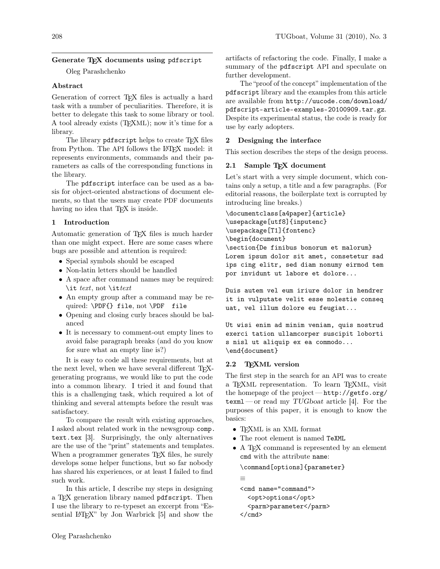# Generate T<sub>F</sub>X documents using pdfscript

Oleg Parashchenko

## Abstract

Generation of correct T<sub>E</sub>X files is actually a hard task with a number of peculiarities. Therefore, it is better to delegate this task to some library or tool. A tool already exists (TEXML); now it's time for a library.

The library pdfscript helps to create T<sub>E</sub>X files from Python. The API follows the LAT<sub>EX</sub> model: it represents environments, commands and their parameters as calls of the corresponding functions in the library.

The pdfscript interface can be used as a basis for object-oriented abstractions of document elements, so that the users may create PDF documents having no idea that T<sub>E</sub>X is inside.

# 1 Introduction

Automatic generation of TEX files is much harder than one might expect. Here are some cases where bugs are possible and attention is required:

- Special symbols should be escaped
- Non-latin letters should be handled
- A space after command names may be required: \it *text*, not \it *text*
- An empty group after a command may be required: \PDF{} file, not \PDF file
- Opening and closing curly braces should be balanced
- It is necessary to comment-out empty lines to avoid false paragraph breaks (and do you know for sure what an empty line is?)

It is easy to code all these requirements, but at the next level, when we have several different TFXgenerating programs, we would like to put the code into a common library. I tried it and found that this is a challenging task, which required a lot of thinking and several attempts before the result was satisfactory.

To compare the result with existing approaches, I asked about related work in the newsgroup [comp.](comp.text.tex) [text.tex](comp.text.tex) [\[3\]](#page-4-0). Surprisingly, the only alternatives are the use of the "print" statements and templates. When a programmer generates T<sub>E</sub>X files, he surely develops some helper functions, but so far nobody has shared his experiences, or at least I failed to find such work.

In this article, I describe my steps in designing a TEX generation library named pdfscript. Then I use the library to re-typeset an excerpt from "Es-sential LAT<sub>EX</sub>" by Jon Warbrick [\[5\]](#page-4-1) and show the artifacts of refactoring the code. Finally, I make a summary of the pdfscript API and speculate on further development.

The "proof of the concept" implementation of the pdfscript library and the examples from this article are available from [http://uucode.com/download/](http://uucode.com/download/pdfscript-article-examples-20100909.tar.gz) [pdfscript-article-examples-20100909.tar.gz](http://uucode.com/download/pdfscript-article-examples-20100909.tar.gz). Despite its experimental status, the code is ready for use by early adopters.

# 2 Designing the interface

This section describes the steps of the design process.

# 2.1 Sample T<sub>E</sub>X document

Let's start with a very simple document, which contains only a setup, a title and a few paragraphs. (For editorial reasons, the boilerplate text is corrupted by introducing line breaks.)

```
\documentclass[a4paper]{article}
\usepackage[utf8]{inputenc}
\usepackage[T1]{fontenc}
\begin{document}
\section{De finibus bonorum et malorum}
Lorem ipsum dolor sit amet, consetetur sad
ips cing elitr, sed diam nonumy eirmod tem
por invidunt ut labore et dolore...
```
Duis autem vel eum iriure dolor in hendrer it in vulputate velit esse molestie conseq uat, vel illum dolore eu feugiat...

Ut wisi enim ad minim veniam, quis nostrud exerci tation ullamcorper suscipit loborti s nisl ut aliquip ex ea commodo... \end{document}

## 2.2 T<sub>E</sub>XML version

≡

The first step in the search for an API was to create a T<sub>F</sub>XML representation. To learn T<sub>F</sub>XML, visit the homepage of the project — [http://getfo.org/](http://getfo.org/texml)  $\texttt{text}$ —or read my TUGboat article [\[4\]](#page-4-2). For the purposes of this paper, it is enough to know the basics:

- TEXML is an XML format
- The root element is named TeXML
- A T<sub>F</sub>X command is represented by an element cmd with the attribute name:

\command[options]{parameter}

```
<cmd name="command">
 <opt>options</opt>
 <parm>parameter</parm>
</cmd>
```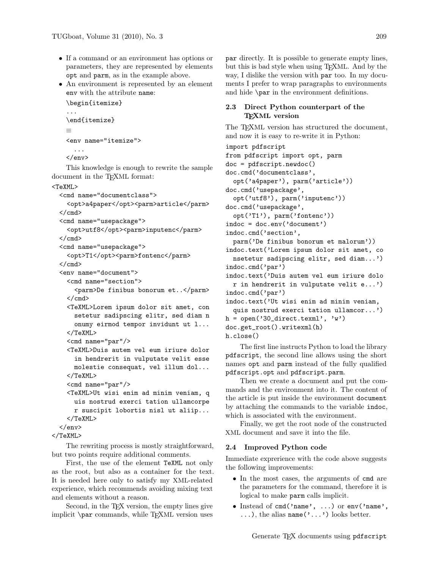- If a command or an environment has options or parameters, they are represented by elements opt and parm, as in the example above.
- An environment is represented by an element env with the attribute name:

```
\begin{itemize}
...
\end{itemize}
≡
<env name="itemize">
  ...
```
</env>

This knowledge is enough to rewrite the sample document in the T<sub>E</sub>XML format:

<TeXML>

```
<cmd name="documentclass">
    <opt>a4paper</opt><parm>article</parm>
  \langle / cmd\rangle<cmd name="usepackage">
    <opt>utf8</opt><parm>inputenc</parm>
  \langle / cmd\rangle<cmd name="usepackage">
    <opt>T1</opt><parm>fontenc</parm>
  \langle/cmd\rangle<env name="document">
    <cmd name="section">
      <parm>De finibus bonorum et..</parm>
    \langle/cmd\rangle<TeXML>Lorem ipsum dolor sit amet, con
      setetur sadipscing elitr, sed diam n
      onumy eirmod tempor invidunt ut l...
    </TeXML>
    <cmd name="par"/>
    <TeXML>Duis autem vel eum iriure dolor
      in hendrerit in vulputate velit esse
      molestie consequat, vel illum dol...
    </TeXML>
    <cmd name="par"/>
    <TeXML>Ut wisi enim ad minim veniam, q
      uis nostrud exerci tation ullamcorpe
      r suscipit lobortis nisl ut aliip...
    </TeXML>
  \langle/env\rangle</TeXML>
```
The rewriting process is mostly straightforward, but two points require additional comments.

First, the use of the element TeXML not only as the root, but also as a container for the text. It is needed here only to satisfy my XML-related experience, which recommends avoiding mixing text and elements without a reason.

Second, in the T<sub>EX</sub> version, the empty lines give implicit  $\parrow$  commands, while T<sub>E</sub>XML version uses

par directly. It is possible to generate empty lines, but this is bad style when using TEXML. And by the way, I dislike the version with par too. In my documents I prefer to wrap paragraphs to environments and hide \par in the environment definitions.

## 2.3 Direct Python counterpart of the T<sub>F</sub>XML version

The T<sub>E</sub>XML version has structured the document, and now it is easy to re-write it in Python:

```
import pdfscript
from pdfscript import opt, parm
doc = pdfscript.newdoc()
doc.cmd('documentclass',
  opt('a4paper'), parm('article'))
doc.cmd('usepackage',
  opt('utf8'), parm('inputenc'))
doc.cmd('usepackage',
  opt('T1'), parm('fontenc'))
indoc = doc.env('document')
indoc.cmd('section',
  parm('De finibus bonorum et malorum'))
indoc.text('Lorem ipsum dolor sit amet, co
  nsetetur sadipscing elitr, sed diam...')
indoc.cmd('par')
indoc.text('Duis autem vel eum iriure dolo
  r in hendrerit in vulputate velit e...')
indoc.cmd('par')
indoc.text('Ut wisi enim ad minim veniam,
  quis nostrud exerci tation ullamcor...')
h = open('30_direct.text'), 'w')
doc.get_root().writexml(h)
h.close()
```
The first line instructs Python to load the library pdfscript, the second line allows using the short names opt and parm instead of the fully qualified pdfscript.opt and pdfscript.parm.

Then we create a document and put the commands and the environment into it. The content of the article is put inside the environment document by attaching the commands to the variable indoc, which is associated with the environment.

Finally, we get the root node of the constructed XML document and save it into the file.

#### 2.4 Improved Python code

Immediate exprerience with the code above suggests the following improvements:

- In the most cases, the arguments of cmd are the parameters for the command, therefore it is logical to make parm calls implicit.
- Instead of cmd('name', ...) or env('name',  $\ldots$ ), the alias name('...') looks better.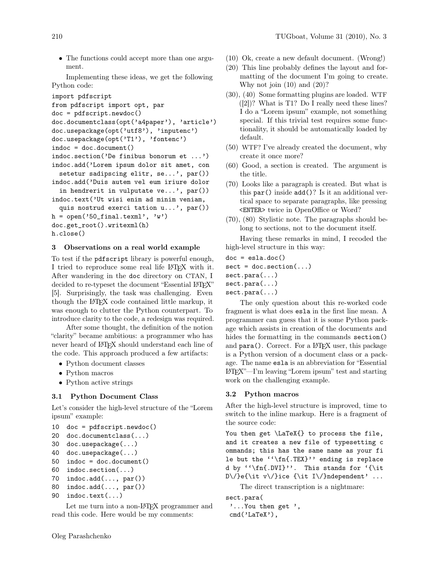• The functions could accept more than one argument.

Implementing these ideas, we get the following Python code:

```
import pdfscript
```

```
from pdfscript import opt, par
doc = pdfscript.newdoc()
doc.documentclass(opt('a4paper'), 'article')
doc.usepackage(opt('utf8'), 'inputenc')
doc.usepackage(opt('T1'), 'fontenc')
indoc = doc.document()indoc.section('De finibus bonorum et ...')
indoc.add('Lorem ipsum dolor sit amet, con
  setetur sadipscing elitr, se...', par())
indoc.add('Duis autem vel eum iriure dolor
  in hendrerit in vulputate ve..., par()indoc.text('Ut wisi enim ad minim veniam,
  quis nostrud exerci tation u...', par())
h = open('50\_final.text]), 'w')
doc.get_root().writexml(h)
```

```
h.close()
```
## 3 Observations on a real world example

To test if the pdfscript library is powerful enough, I tried to reproduce some real life LAT<sub>EX</sub> with it. After wandering in the doc directory on CTAN, I decided to re-typeset the document "Essential LATEX" [\[5\]](#page-4-1). Surprisingly, the task was challenging. Even though the LATEX code contained little markup, it was enough to clutter the Python counterpart. To introduce clarity to the code, a redesign was required.

After some thought, the definition of the notion "clarity" became ambitious: a programmer who has never heard of LATEX should understand each line of the code. This approach produced a few artifacts:

- Python document classes
- Python macros
- Python active strings

# 3.1 Python Document Class

Let's consider the high-level structure of the "Lorem ipsum" example:

```
10 doc = pdfscript.newdoc()
```

```
20 doc.documentclass(...)
```

```
30 doc.usepackage(...)
```

```
40 doc.usepackage(...)
```

```
50 indoc = doc.document()
```

```
60 indoc.section(...)
```

```
70 indoc.add(..., par())
```

```
80 indoc.add(..., par())
```

```
90 indoc.text(...)
```
Let me turn into a non-L<sup>AT</sup>FX programmer and read this code. Here would be my comments:

- (10) Ok, create a new default document. (Wrong!)
- (20) This line probably defines the layout and formatting of the document I'm going to create. Why not join  $(10)$  and  $(20)$ ?
- (30), (40) Some formatting plugins are loaded. WTF ([\[2\]](#page-4-3))? What is T1? Do I really need these lines? I do a "Lorem ipsum" example, not something special. If this trivial test requires some functionality, it should be automatically loaded by default.
- (50) WTF? I've already created the document, why create it once more?
- (60) Good, a section is created. The argument is the title.
- (70) Looks like a paragraph is created. But what is this par() inside add()? Is it an additional vertical space to separate paragraphs, like pressing <ENTER> twice in OpenOffice or Word?
- (70), (80) Stylistic note. The paragraphs should belong to sections, not to the document itself.

Having these remarks in mind, I recoded the high-level structure in this way:

```
doc = esla.doc()sect = doc.setion(...)sect.para(...)
sect.para(...)
sect.para(...)
```
The only question about this re-worked code fragment is what does esla in the first line mean. A programmer can guess that it is some Python package which assists in creation of the documents and hides the formatting in the commands section() and para(). Correct. For a IAT<sub>F</sub>X user, this package is a Python version of a document class or a package. The name esla is an abbreviation for "Essential LATEX"—I'm leaving "Lorem ipsum" test and starting work on the challenging example.

# 3.2 Python macros

After the high-level structure is improved, time to switch to the inline markup. Here is a fragment of the source code:

You then get \LaTeX{} to process the file, and it creates a new file of typesetting c ommands; this has the same name as your fi le but the  $''\fn{.TEX}'$  ending is replace d by ''\fn{.DVI}''. This stands for '{\it D\/}e{\it v\/}ice {\it I\/}ndependent' ...

The direct transcription is a nightmare:

```
sect.para(
 '...You then get ',
cmd('LaTeX'),
```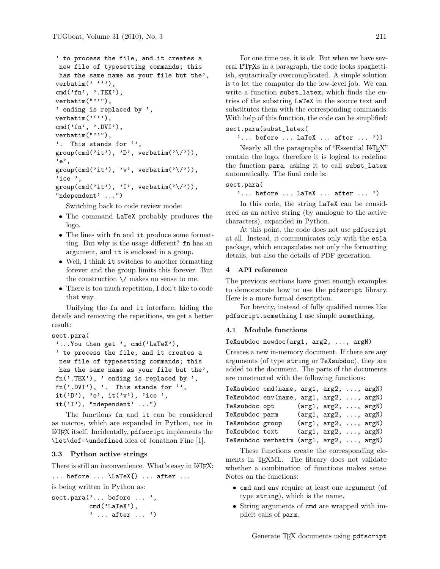```
' to process the file, and it creates a
 new file of typesetting commands; this
 has the same name as your file but the',
verbatim' (''),
cmd('fn', ' . TEX'),
verbatim("''"),
' ending is replaced by ',
verbatim(''''),
cmd('fn', '.DVI'),
verbatim("''"),
'. This stands for '',
group(cmd('it'), 'D', verbatim('\\/')),
'e,
group(cmd('it'), 'v', verbatim('\\/')),
'ice ',
group(cmd('it'), 'I', verbatim('\\/')),
"ndependent' ...")
```
Switching back to code review mode:

- The command LaTeX probably produces the logo.
- The lines with fn and it produce some formatting. But why is the usage different? fn has an argument, and it is enclosed in a group.
- Well, I think it switches to another formatting forever and the group limits this forever. But the construction \/ makes no sense to me.
- There is too much repetition, I don't like to code that way.

Unifying the fn and it interface, hiding the details and removing the repetitions, we get a better result:

```
sect.para(
 '...You then get ', cmd('LaTeX'),
 ' to process the file, and it creates a
 new file of typesetting commands; this
 has the same name as your file but the',
 fn('.TEX'), ' ending is replaced by ',
 fn('.DVI'), '. This stands for '',
 it('D'), 'e', it('v'), 'ice',
 it('I'), "ndependent', ...")
```
The functions fn and it can be considered as macros, which are expanded in Python, not in LATEX itself. Incidentally, pdfscript implements the \let\def=\undefined idea of Jonathan Fine [\[1\]](#page-4-4).

## 3.3 Python active strings

There is still an inconvenience. What's easy in LATFX:

```
\ldots before \ldots \LaTeX{} \ldots after \ldots
```
is being written in Python as:

```
sect.para('... before ... ',
          cmd('LaTeX'),
          ' ... after ... ')
```
For one time use, it is ok. But when we have several LATEXs in a paragraph, the code looks spaghettiish, syntactically overcomplicated. A simple solution is to let the computer do the low-level job. We can write a function subst\_latex, which finds the entries of the substring LaTeX in the source text and substitutes them with the corresponding commands. With help of this function, the code can be simplified: sect.para(subst\_latex(

 $\ldots$  before  $\ldots$  LaTeX  $\ldots$  after  $\ldots$  '))

Nearly all the paragraphs of "Essential L<sup>AT</sup>FX" contain the logo, therefore it is logical to redefine the function para, asking it to call subst\_latex automatically. The final code is:

#### sect.para(

'... before ... LaTeX ... after ... ')

In this code, the string LaTeX can be considered as an active string (by analogue to the active characters), expanded in Python.

At this point, the code does not use pdfscript at all. Instead, it communicates only with the esla package, which encapsulates not only the formatting details, but also the details of PDF generation.

#### 4 API reference

The previous sections have given enough examples to demonstrate how to use the pdfscript library. Here is a more formal description.

For brevity, instead of fully qualified names like pdfscript.something I use simple something.

## 4.1 Module functions

## TeXsubdoc newdoc(arg1, arg2, ..., argN)

Creates a new in-memory document. If there are any arguments (of type string or TeXsubdoc), they are added to the document. The parts of the documents are constructed with the following functions:

| TeXsubdoc cmd(name, $arg1$ , $arg2$ , , $argN$ ) |                               |  |  |
|--------------------------------------------------|-------------------------------|--|--|
| TeXsubdoc env(name, arg1, arg2, , argN)          |                               |  |  |
| TeXsubdoc opt                                    | $(\text{arg1, arg2, , argN})$ |  |  |
| TeXsubdoc parm                                   | $(\text{arg1, arg2, , argN})$ |  |  |
| TeXsubdoc group                                  | $(\text{arg1, arg2, , argN})$ |  |  |
| TeXsubdoc text                                   | $(\text{arg1, arg2, , argN})$ |  |  |
| TeXsubdoc verbatim (arg1, arg2, , argN)          |                               |  |  |

These functions create the corresponding elements in TEXML. The library does not validate whether a combination of functions makes sense. Notes on the functions:

- cmd and env require at least one argument (of type string), which is the name.
- String arguments of cmd are wrapped with implicit calls of parm.